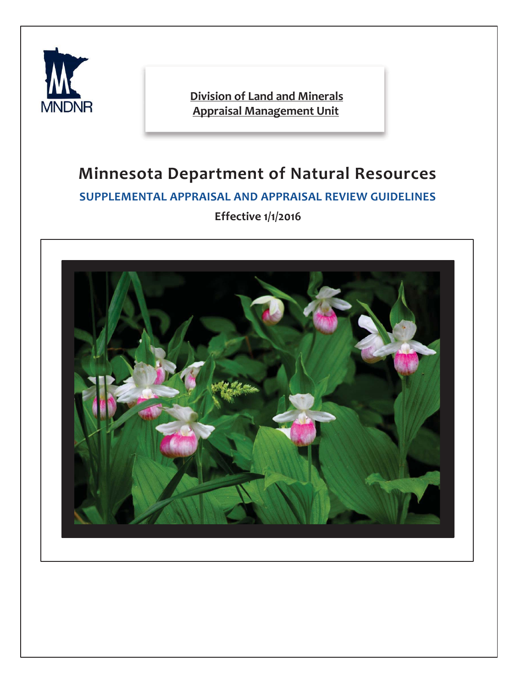

**Division of Land and Minerals Appraisal Management Unit** 

# **Minnesota Department of Natural Resources SUPPLEMENTAL APPRAISAL AND APPRAISAL REVIEW GUIDELINES Effective 1/1/2016**

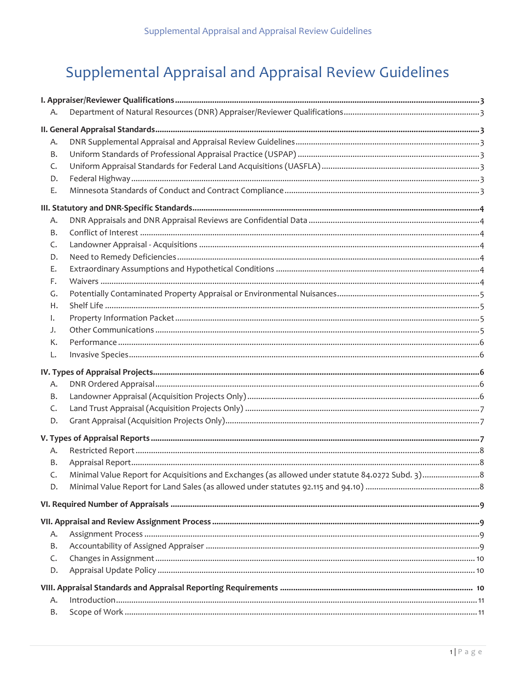# Supplemental Appraisal and Appraisal Review Guidelines

| Α. |  |
|----|--|
|    |  |
| Α. |  |
| Β. |  |
| C. |  |
| D. |  |
| Ε. |  |
|    |  |
| Α. |  |
| Β. |  |
| C. |  |
| D. |  |
| Ε. |  |
| F. |  |
| G. |  |
| Н. |  |
| ı. |  |
| J. |  |
| К. |  |
| L. |  |
|    |  |
| Α. |  |
| Β. |  |
| C. |  |
| D. |  |
|    |  |
| Α. |  |
| Β. |  |
| C. |  |
| D. |  |
|    |  |
|    |  |
| А. |  |
| Β. |  |
| C. |  |
| D. |  |
|    |  |
| А. |  |
| В. |  |
|    |  |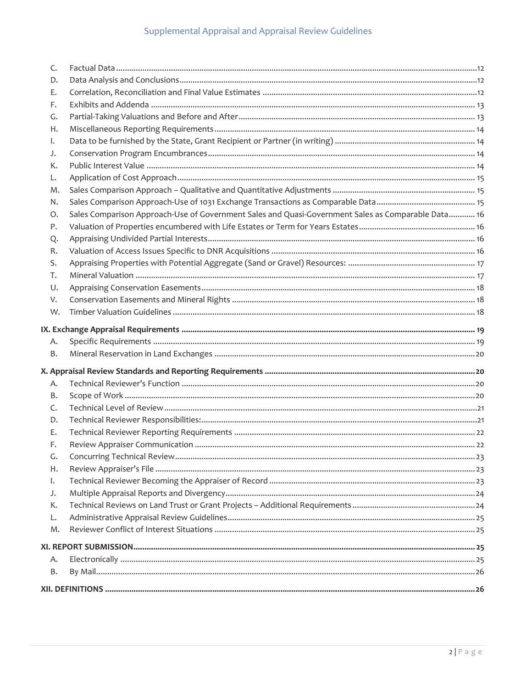| В.       |                                                                                                    |  |  |  |
|----------|----------------------------------------------------------------------------------------------------|--|--|--|
| А.       |                                                                                                    |  |  |  |
|          |                                                                                                    |  |  |  |
| M.       |                                                                                                    |  |  |  |
| L.       |                                                                                                    |  |  |  |
| К.       |                                                                                                    |  |  |  |
| J.       |                                                                                                    |  |  |  |
| I.       |                                                                                                    |  |  |  |
| Η.       |                                                                                                    |  |  |  |
| G.       |                                                                                                    |  |  |  |
| F.       |                                                                                                    |  |  |  |
| Е.       |                                                                                                    |  |  |  |
| D.       |                                                                                                    |  |  |  |
| C.       |                                                                                                    |  |  |  |
| В.       |                                                                                                    |  |  |  |
| А.       |                                                                                                    |  |  |  |
|          |                                                                                                    |  |  |  |
| В.       |                                                                                                    |  |  |  |
| Α.       |                                                                                                    |  |  |  |
|          |                                                                                                    |  |  |  |
|          |                                                                                                    |  |  |  |
| W.       |                                                                                                    |  |  |  |
| V.       |                                                                                                    |  |  |  |
| U.       |                                                                                                    |  |  |  |
| T.       |                                                                                                    |  |  |  |
| S.       |                                                                                                    |  |  |  |
| R.       |                                                                                                    |  |  |  |
| Q.       |                                                                                                    |  |  |  |
| Ρ.       |                                                                                                    |  |  |  |
| Ο.       | Sales Comparison Approach-Use of Government Sales and Quasi-Government Sales as Comparable Data 16 |  |  |  |
| N.       |                                                                                                    |  |  |  |
| L.<br>М. |                                                                                                    |  |  |  |
|          |                                                                                                    |  |  |  |
| К.       |                                                                                                    |  |  |  |
| J.       |                                                                                                    |  |  |  |
| I.       |                                                                                                    |  |  |  |
| Η.       |                                                                                                    |  |  |  |
| F.<br>G. |                                                                                                    |  |  |  |
| Е.       |                                                                                                    |  |  |  |
| D.       |                                                                                                    |  |  |  |
| C.       |                                                                                                    |  |  |  |
|          |                                                                                                    |  |  |  |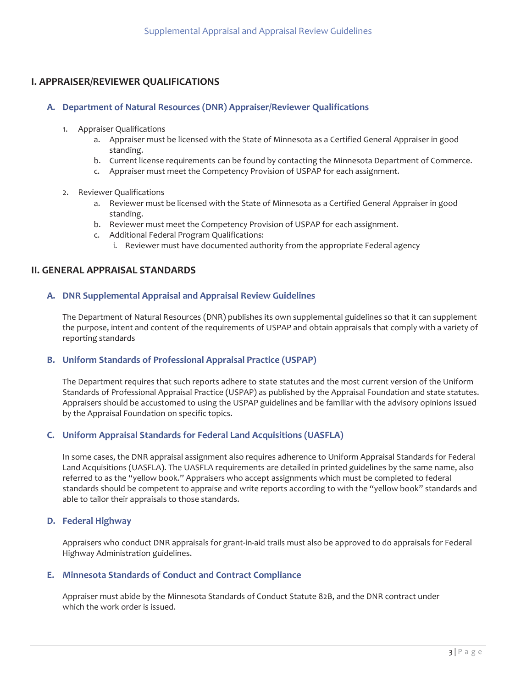# <span id="page-3-7"></span>**I. APPRAISER/REVIEWER QUALIFICATIONS**

## <span id="page-3-6"></span>**A.** Department of Natural Resources (DNR) Appraiser/Reviewer Qualifications

- 1. Appraiser Qualifications
	- a. Appraiser must be licensed with the State of Minnesota as a Certified General Appraiser in good standing.
	- b. Current license requirements can be found by contacting the Minnesota Department of Commerce.
	- c. Appraiser must meet the Competency Provision of USPAP for each assignment.
- 2. Reviewer Qualifications
	- a. Reviewer must be licensed with the State of Minnesota as a Certified General Appraiser in good standing.
	- b. Reviewer must meet the Competency Provision of USPAP for each assignment.
	- c. Additional Federal Program Qualifications:
		- i. Reviewer must have documented authority from the appropriate Federal agency

# <span id="page-3-5"></span>**II. GENERAL APPRAISAL STANDARDS**

# <span id="page-3-4"></span> **A. DNR Supplemental Appraisal and Appraisal Review Guidelines**

 reporting standards The Department of Natural Resources (DNR) publishes its own supplemental guidelines so that it can supplement the purpose, intent and content of the requirements of USPAP and obtain appraisals that comply with a variety of

## <span id="page-3-3"></span>**B. Uniform Standards of Professional Appraisal Practice (USPAP)**

The Department requires that such reports adhere to state statutes and the most current version of the Uniform Standards of Professional Appraisal Practice (USPAP) as published by the Appraisal Foundation and state statutes. Appraisers should be accustomed to using the USPAP guidelines and be familiar with the advisory opinions issued by the Appraisal Foundation on specific topics.

## <span id="page-3-2"></span>**C. Uniform Appraisal Standards for Federal Land Acquisitions (UASFLA)**

 standards should be competent to appraise and write reports according to with the "yellow book" standards and In some cases, the DNR appraisal assignment also requires adherence to Uniform Appraisal Standards for Federal Land Acquisitions (UASFLA). The UASFLA requirements are detailed in printed guidelines by the same name, also referred to as the "yellow book." Appraisers who accept assignments which must be completed to federal able to tailor their appraisals to those standards.

#### <span id="page-3-1"></span>**D. Federal Highway**

Appraisers who conduct DNR appraisals for grant-in-aid trails must also be approved to do appraisals for Federal Highway Administration guidelines.

#### <span id="page-3-0"></span>**E. Minnesota Standards of Conduct and Contract Compliance**

Appraiser must abide by the Minnesota Standards of Conduct Statute 82B, and the DNR contract under which the work order is issued.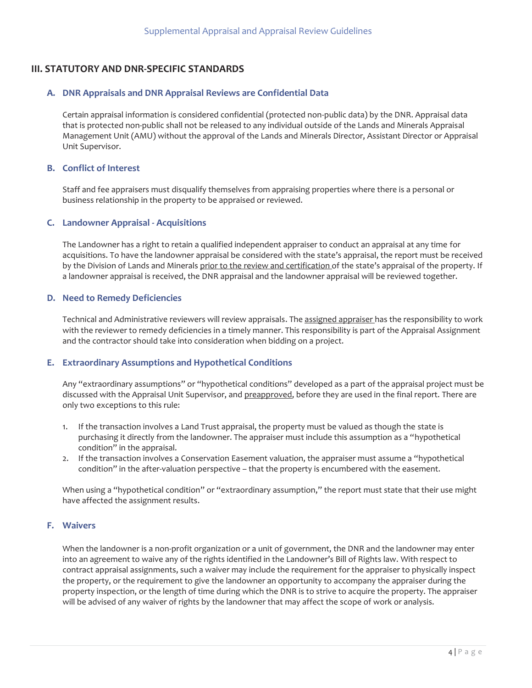# <span id="page-4-6"></span>**III. STATUTORY AND DNR-SPECIFIC STANDARDS**

## <span id="page-4-5"></span>**A. DNR Appraisals and DNR Appraisal Reviews are Confidential Data**

Certain appraisal information is considered confidential (protected non-public data) by the DNR. Appraisal data that is protected non-public shall not be released to any individual outside of the Lands and Minerals Appraisal Management Unit (AMU) without the approval of the Lands and Minerals Director, Assistant Director or Appraisal Unit Supervisor.

#### <span id="page-4-4"></span>**B. Conflict of Interest**

 business relationship in the property to be appraised or reviewed. Staff and fee appraisers must disqualify themselves from appraising properties where there is a personal or

#### <span id="page-4-3"></span>**C. Landowner Appraisal - Acquisitions**

The Landowner has a right to retain a qualified independent appraiser to conduct an appraisal at any time for acquisitions. To have the landowner appraisal be considered with the state's appraisal, the report must be received by the Division of Lands and Minerals prior to the review and certification of the state's appraisal of the property. If a landowner appraisal is received, the DNR appraisal and the landowner appraisal will be reviewed together.

#### <span id="page-4-2"></span>**D. Need to Remedy Deficiencies**

Technical and Administrative reviewers will review appraisals. The assigned appraiser has the responsibility to work with the reviewer to remedy deficiencies in a timely manner. This responsibility is part of the Appraisal Assignment and the contractor should take into consideration when bidding on a project.

## <span id="page-4-1"></span>**E. Extraordinary Assumptions and Hypothetical Conditions**

Any "extraordinary assumptions" or "hypothetical conditions" developed as a part of the appraisal project must be discussed with the Appraisal Unit Supervisor, and preapproved, before they are used in the final report. There are only two exceptions to this rule:

- 1. If the transaction involves a Land Trust appraisal, the property must be valued as though the state is purchasing it directly from the landowner. The appraiser must include this assumption as a "hypothetical condition" in the appraisal.
- 2. If the transaction involves a Conservation Easement valuation, the appraiser must assume a "hypothetical condition" in the after-valuation perspective – that the property is encumbered with the easement.

When using a "hypothetical condition" or "extraordinary assumption," the report must state that their use might have affected the assignment results.

# <span id="page-4-0"></span>**F. Waivers**

When the landowner is a non-profit organization or a unit of government, the DNR and the landowner may enter into an agreement to waive any of the rights identified in the Landowner's Bill of Rights law. With respect to contract appraisal assignments, such a waiver may include the requirement for the appraiser to physically inspect the property, or the requirement to give the landowner an opportunity to accompany the appraiser during the property inspection, or the length of time during which the DNR is to strive to acquire the property. The appraiser will be advised of any waiver of rights by the landowner that may affect the scope of work or analysis.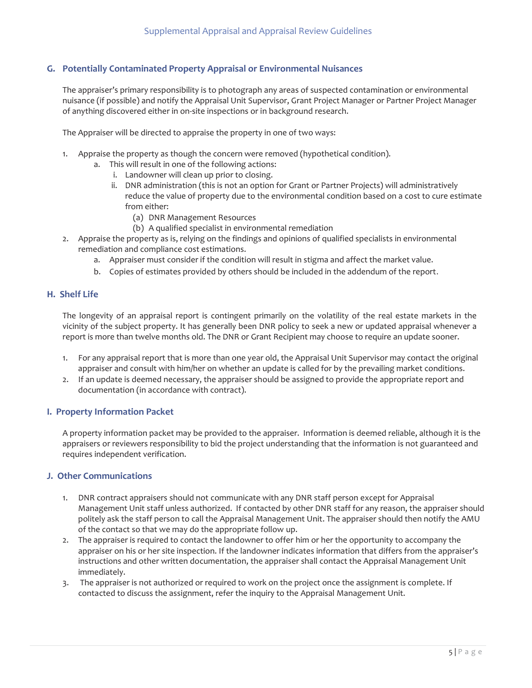# <span id="page-5-3"></span>**G. Potentially Contaminated Property Appraisal or Environmental Nuisances**

 of anything discovered either in on-site inspections or in background research. The appraiser's primary responsibility is to photograph any areas of suspected contamination or environmental nuisance (if possible) and notify the Appraisal Unit Supervisor, Grant Project Manager or Partner Project Manager

The Appraiser will be directed to appraise the property in one of two ways:

- 1. Appraise the property as though the concern were removed (hypothetical condition).
	- a. This will result in one of the following actions:
		- i. Landowner will clean up prior to closing.
		- ii. DNR administration (this is not an option for Grant or Partner Projects) will administratively reduce the value of property due to the environmental condition based on a cost to cure estimate from either:
			- (a) DNR Management Resources
			- (b) A qualified specialist in environmental remediation
- 2. Appraise the property as is, relying on the findings and opinions of qualified specialists in environmental remediation and compliance cost estimations.
	- a. Appraiser must consider if the condition will result in stigma and affect the market value.
	- b. Copies of estimates provided by others should be included in the addendum of the report.

## <span id="page-5-2"></span>**H. Shelf Life**

The longevity of an appraisal report is contingent primarily on the volatility of the real estate markets in the vicinity of the subject property. It has generally been DNR policy to seek a new or updated appraisal whenever a report is more than twelve months old. The DNR or Grant Recipient may choose to require an update sooner.

- 1. For any appraisal report that is more than one year old, the Appraisal Unit Supervisor may contact the original appraiser and consult with him/her on whether an update is called for by the prevailing market conditions.
- 2. If an update is deemed necessary, the appraiser should be assigned to provide the appropriate report and documentation (in accordance with contract).

## <span id="page-5-1"></span>**I. Property Information Packet**

 appraisers or reviewers responsibility to bid the project understanding that the information is not guaranteed and A property information packet may be provided to the appraiser. Information is deemed reliable, although it is the requires independent verification.

## <span id="page-5-0"></span>**J. Other Communications**

- 1. DNR contract appraisers should not communicate with any DNR staff person except for Appraisal Management Unit staff unless authorized. If contacted by other DNR staff for any reason, the appraiser should politely ask the staff person to call the Appraisal Management Unit. The appraiser should then notify the AMU of the contact so that we may do the appropriate follow up.
- 2. The appraiser is required to contact the landowner to offer him or her the opportunity to accompany the appraiser on his or her site inspection. If the landowner indicates information that differs from the appraiser's instructions and other written documentation, the appraiser shall contact the Appraisal Management Unit immediately.
- 3. The appraiser is not authorized or required to work on the project once the assignment is complete. If contacted to discuss the assignment, refer the inquiry to the Appraisal Management Unit.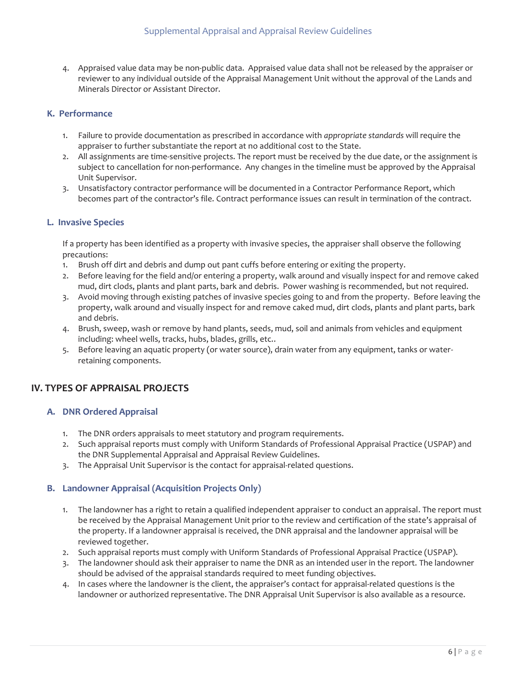4. Appraised value data may be non-public data. Appraised value data shall not be released by the appraiser or reviewer to any individual outside of the Appraisal Management Unit without the approval of the Lands and Minerals Director or Assistant Director.

# <span id="page-6-4"></span>**K. Performance**

- 1. Failure to provide documentation as prescribed in accordance with *appropriate standards* will require the appraiser to further substantiate the report at no additional cost to the State.
- 2. All assignments are time-sensitive projects. The report must be received by the due date, or the assignment is subject to cancellation for non-performance. Any changes in the timeline must be approved by the Appraisal Unit Supervisor.
- 3. Unsatisfactory contractor performance will be documented in a Contractor Performance Report, which becomes part of the contractor's file. Contract performance issues can result in termination of the contract.

## <span id="page-6-3"></span>**L. Invasive Species**

If a property has been identified as a property with invasive species, the appraiser shall observe the following precautions:

- 1. Brush off dirt and debris and dump out pant cuffs before entering or exiting the property.
- 2. Before leaving for the field and/or entering a property, walk around and visually inspect for and remove caked mud, dirt clods, plants and plant parts, bark and debris. Power washing is recommended, but not required.
- 3. Avoid moving through existing patches of invasive species going to and from the property. Before leaving the property, walk around and visually inspect for and remove caked mud, dirt clods, plants and plant parts, bark and debris.
- 4. Brush, sweep, wash or remove by hand plants, seeds, mud, soil and animals from vehicles and equipment including: wheel wells, tracks, hubs, blades, grills, etc..
- 5. Before leaving an aquatic property (or water source), drain water from any equipment, tanks or waterretaining components.

# <span id="page-6-2"></span>**IV. TYPES OF APPRAISAL PROJECTS**

## <span id="page-6-1"></span>**A. DNR Ordered Appraisal**

- 1. The DNR orders appraisals to meet statutory and program requirements.
- 2. Such appraisal reports must comply with Uniform Standards of Professional Appraisal Practice (USPAP) and the DNR Supplemental Appraisal and Appraisal Review Guidelines.
- 3. The Appraisal Unit Supervisor is the contact for appraisal-related questions.

## <span id="page-6-0"></span>**B. Landowner Appraisal (Acquisition Projects Only)**

- 1. The landowner has a right to retain a qualified independent appraiser to conduct an appraisal. The report must be received by the Appraisal Management Unit prior to the review and certification of the state's appraisal of the property. If a landowner appraisal is received, the DNR appraisal and the landowner appraisal will be reviewed together.
- 2. Such appraisal reports must comply with Uniform Standards of Professional Appraisal Practice (USPAP).
- 3. The landowner should ask their appraiser to name the DNR as an intended user in the report. The landowner should be advised of the appraisal standards required to meet funding objectives.
- 4. In cases where the landowner is the client, the appraiser's contact for appraisal-related questions is the landowner or authorized representative. The DNR Appraisal Unit Supervisor is also available as a resource.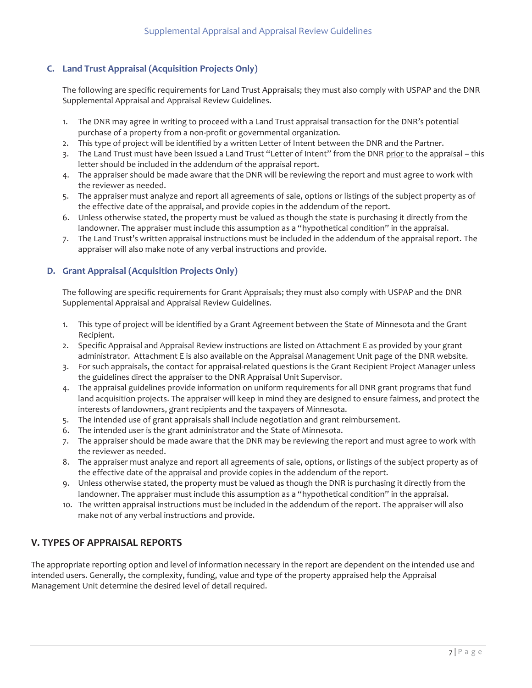# <span id="page-7-2"></span> **C. Land Trust Appraisal (Acquisition Projects Only)**

The following are specific requirements for Land Trust Appraisals; they must also comply with USPAP and the DNR Supplemental Appraisal and Appraisal Review Guidelines.

- 1. The DNR may agree in writing to proceed with a Land Trust appraisal transaction for the DNR's potential purchase of a property from a non-profit or governmental organization.
- 2. This type of project will be identified by a written Letter of Intent between the DNR and the Partner.
- 3. The Land Trust must have been issued a Land Trust "Letter of Intent" from the DNR prior to the appraisal this letter should be included in the addendum of the appraisal report.
- 4. The appraiser should be made aware that the DNR will be reviewing the report and must agree to work with the reviewer as needed.
- 5. The appraiser must analyze and report all agreements of sale, options or listings of the subject property as of the effective date of the appraisal, and provide copies in the addendum of the report.
- 6. Unless otherwise stated, the property must be valued as though the state is purchasing it directly from the landowner. The appraiser must include this assumption as a "hypothetical condition" in the appraisal.
- 7. The Land Trust's written appraisal instructions must be included in the addendum of the appraisal report. The appraiser will also make note of any verbal instructions and provide.

# <span id="page-7-1"></span> **D. Grant Appraisal (Acquisition Projects Only)**

The following are specific requirements for Grant Appraisals; they must also comply with USPAP and the DNR Supplemental Appraisal and Appraisal Review Guidelines.

- 1. This type of project will be identified by a Grant Agreement between the State of Minnesota and the Grant Recipient.
- administrator. Attachment E is also available on the Appraisal Management Unit page of the DNR website. 2. Specific Appraisal and Appraisal Review instructions are listed on Attachment E as provided by your grant
- 3. For such appraisals, the contact for appraisal-related questions is the Grant Recipient Project Manager unless the guidelines direct the appraiser to the DNR Appraisal Unit Supervisor.
- 4. The appraisal guidelines provide information on uniform requirements for all DNR grant programs that fund land acquisition projects. The appraiser will keep in mind they are designed to ensure fairness, and protect the interests of landowners, grant recipients and the taxpayers of Minnesota.
- 5. The intended use of grant appraisals shall include negotiation and grant reimbursement.
- 6. The intended user is the grant administrator and the State of Minnesota.
- 7. The appraiser should be made aware that the DNR may be reviewing the report and must agree to work with the reviewer as needed.
- the effective date of the appraisal and provide copies in the addendum of the report. 8. The appraiser must analyze and report all agreements of sale, options, or listings of the subject property as of
- 9. Unless otherwise stated, the property must be valued as though the DNR is purchasing it directly from the landowner. The appraiser must include this assumption as a "hypothetical condition" in the appraisal.
- 10. The written appraisal instructions must be included in the addendum of the report. The appraiser will also make not of any verbal instructions and provide.

# <span id="page-7-0"></span>**V. TYPES OF APPRAISAL REPORTS**

The appropriate reporting option and level of information necessary in the report are dependent on the intended use and intended users. Generally, the complexity, funding, value and type of the property appraised help the Appraisal Management Unit determine the desired level of detail required.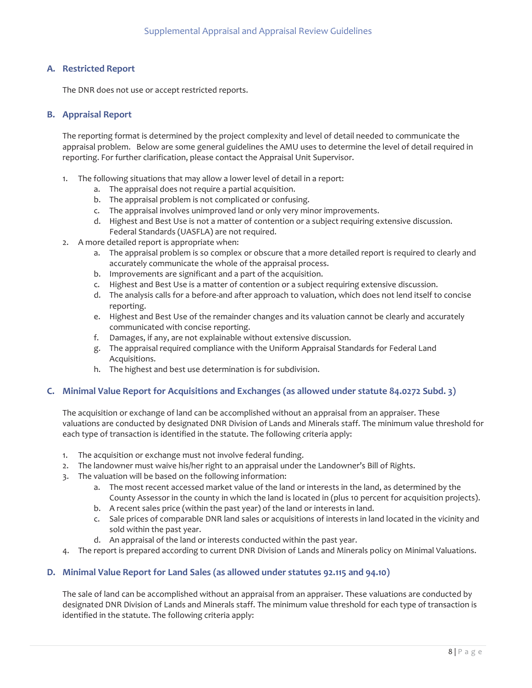# <span id="page-8-3"></span>**A. Restricted Report**

The DNR does not use or accept restricted reports.

## <span id="page-8-2"></span>**B. Appraisal Report**

The reporting format is determined by the project complexity and level of detail needed to communicate the appraisal problem. Below are some general guidelines the AMU uses to determine the level of detail required in reporting. For further clarification, please contact the Appraisal Unit Supervisor.

- 1. The following situations that may allow a lower level of detail in a report:
	- a. The appraisal does not require a partial acquisition.
	- b. The appraisal problem is not complicated or confusing.
	- c. The appraisal involves unimproved land or only very minor improvements.
	- d. Highest and Best Use is not a matter of contention or a subject requiring extensive discussion. Federal Standards (UASFLA) are not required.
- 2. A more detailed report is appropriate when:
	- a. The appraisal problem is so complex or obscure that a more detailed report is required to clearly and accurately communicate the whole of the appraisal process.
	- b. Improvements are significant and a part of the acquisition.
	- c. Highest and Best Use is a matter of contention or a subject requiring extensive discussion.
	- d. The analysis calls for a before-and after approach to valuation, which does not lend itself to concise reporting.
	- e. Highest and Best Use of the remainder changes and its valuation cannot be clearly and accurately communicated with concise reporting.
	- f. Damages, if any, are not explainable without extensive discussion.
	- g. The appraisal required compliance with the Uniform Appraisal Standards for Federal Land Acquisitions.
	- h. The highest and best use determination is for subdivision.

## <span id="page-8-1"></span>**C. Minimal Value Report for Acquisitions and Exchanges (as allowed under statute 84.0272 Subd. 3)**

 valuations are conducted by designated DNR Division of Lands and Minerals staff. The minimum value threshold for The acquisition or exchange of land can be accomplished without an appraisal from an appraiser. These each type of transaction is identified in the statute. The following criteria apply:

- 1. The acquisition or exchange must not involve federal funding.
- 2. The landowner must waive his/her right to an appraisal under the Landowner's Bill of Rights.
- 3. The valuation will be based on the following information:
	- County Assessor in the county in which the land is located in (plus 10 percent for acquisition projects).<br>b. A recent sales price (within the past year) of the land or interests in land. a. The most recent accessed market value of the land or interests in the land, as determined by the
	- b. A recent sales price (within the past year) of the land or interests in land.
	- sold within the past year. c. Sale prices of comparable DNR land sales or acquisitions of interests in land located in the vicinity and
	- d. An appraisal of the land or interests conducted within the past year.
- 4. The report is prepared according to current DNR Division of Lands and Minerals policy on Minimal Valuations.

# <span id="page-8-0"></span> **D. Minimal Value Report for Land Sales (as allowed under statutes 92.115 and 94.10)**

The sale of land can be accomplished without an appraisal from an appraiser. These valuations are conducted by designated DNR Division of Lands and Minerals staff. The minimum value threshold for each type of transaction is identified in the statute. The following criteria apply: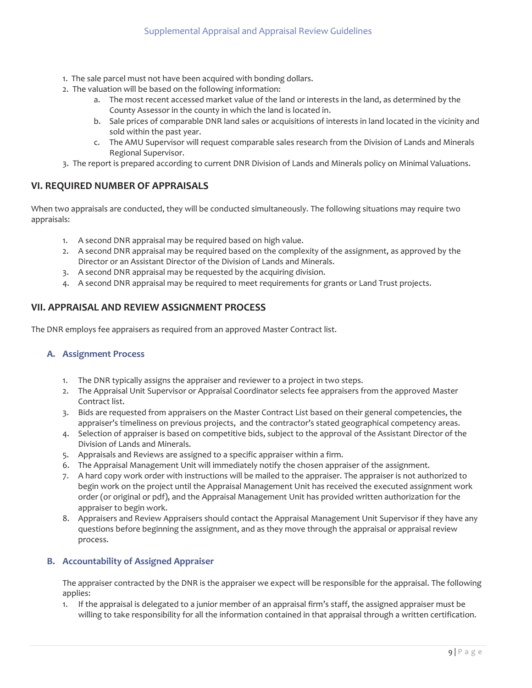- 1. The sale parcel must not have been acquired with bonding dollars.
- 2. The valuation will be based on the following information:
	- a. The most recent accessed market value of the land or interests in the land, as determined by the County Assessor in the county in which the land is located in.
	- sold within the past year. b. Sale prices of comparable DNR land sales or acquisitions of interests in land located in the vicinity and
	- c. The AMU Supervisor will request comparable sales research from the Division of Lands and Minerals Regional Supervisor.
- 3. The report is prepared according to current DNR Division of Lands and Minerals policy on Minimal Valuations.

# <span id="page-9-3"></span>**VI. REQUIRED NUMBER OF APPRAISALS**

When two appraisals are conducted, they will be conducted simultaneously. The following situations may require two appraisals:

- 1. A second DNR appraisal may be required based on high value.
- Director or an Assistant Director of the Division of Lands and Minerals. 2. A second DNR appraisal may be required based on the complexity of the assignment, as approved by the
- 3. A second DNR appraisal may be requested by the acquiring division.
- 4. A second DNR appraisal may be required to meet requirements for grants or Land Trust projects.

# <span id="page-9-2"></span> **VII. APPRAISAL AND REVIEW ASSIGNMENT PROCESS**

The DNR employs fee appraisers as required from an approved Master Contract list.

## <span id="page-9-1"></span>**A. Assignment Process**

- 1. The DNR typically assigns the appraiser and reviewer to a project in two steps.
- 2. The Appraisal Unit Supervisor or Appraisal Coordinator selects fee appraisers from the approved Master Contract list.
- 3. Bids are requested from appraisers on the Master Contract List based on their general competencies, the appraiser's timeliness on previous projects, and the contractor's stated geographical competency areas.
- 4. Selection of appraiser is based on competitive bids, subject to the approval of the Assistant Director of the Division of Lands and Minerals.
- 5. Appraisals and Reviews are assigned to a specific appraiser within a firm.
- 6. The Appraisal Management Unit will immediately notify the chosen appraiser of the assignment.
- order (or original or pdf), and the Appraisal Management Unit has provided written authorization for the 7. A hard copy work order with instructions will be mailed to the appraiser. The appraiser is not authorized to begin work on the project until the Appraisal Management Unit has received the executed assignment work appraiser to begin work.
- 8. Appraisers and Review Appraisers should contact the Appraisal Management Unit Supervisor if they have any questions before beginning the assignment, and as they move through the appraisal or appraisal review process.

# <span id="page-9-0"></span> **B. Accountability of Assigned Appraiser**

The appraiser contracted by the DNR is the appraiser we expect will be responsible for the appraisal. The following applies:

1. If the appraisal is delegated to a junior member of an appraisal firm's staff, the assigned appraiser must be willing to take responsibility for all the information contained in that appraisal through a written certification.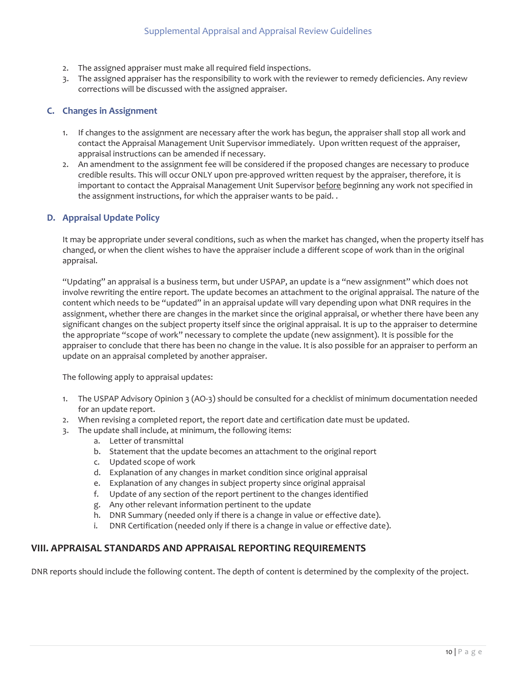- <span id="page-10-2"></span>2. The assigned appraiser must make all required field inspections.
- corrections will be discussed with the assigned appraiser. 3. The assigned appraiser has the responsibility to work with the reviewer to remedy deficiencies. Any review

# <span id="page-10-1"></span>**C. Changes in Assignment**

- 1. If changes to the assignment are necessary after the work has begun, the appraiser shall stop all work and contact the Appraisal Management Unit Supervisor immediately. Upon written request of the appraiser, appraisal instructions can be amended if necessary.
- 2. An amendment to the assignment fee will be considered if the proposed changes are necessary to produce credible results. This will occur ONLY upon pre-approved written request by the appraiser, therefore, it is important to contact the Appraisal Management Unit Supervisor before beginning any work not specified in the assignment instructions, for which the appraiser wants to be paid. .

# <span id="page-10-0"></span>**D. Appraisal Update Policy**

It may be appropriate under several conditions, such as when the market has changed, when the property itself has changed, or when the client wishes to have the appraiser include a different scope of work than in the original appraisal.

"Updating" an appraisal is a business term, but under USPAP, an update is a "new assignment" which does not involve rewriting the entire report. The update becomes an attachment to the original appraisal. The nature of the content which needs to be "updated" in an appraisal update will vary depending upon what DNR requires in the assignment, whether there are changes in the market since the original appraisal, or whether there have been any significant changes on the subject property itself since the original appraisal. It is up to the appraiser to determine the appropriate "scope of work" necessary to complete the update (new assignment). It is possible for the appraiser to conclude that there has been no change in the value. It is also possible for an appraiser to perform an update on an appraisal completed by another appraiser.

The following apply to appraisal updates:

- for an update report. 1. The USPAP Advisory Opinion 3 (AO-3) should be consulted for a checklist of minimum documentation needed
- 2. When revising a completed report, the report date and certification date must be updated.
- 3. The update shall include, at minimum, the following items:
	- a. Letter of transmittal
	- b. Statement that the update becomes an attachment to the original report
	- c. Updated scope of work
	- d. Explanation of any changes in market condition since original appraisal
	- e. Explanation of any changes in subject property since original appraisal
	- f. Update of any section of the report pertinent to the changes identified
	- g. Any other relevant information pertinent to the update
	- h. DNR Summary (needed only if there is a change in value or effective date).
	- i. DNR Certification (needed only if there is a change in value or effective date).

# **VIII. APPRAISAL STANDARDS AND APPRAISAL REPORTING REQUIREMENTS**

DNR reports should include the following content. The depth of content is determined by the complexity of the project. DNR reports should include the following content. The depth of content is determined by the complexity of the project.<br>
10 | P a g e depth of content is determined by the complexity of the project.<br>
10 | P a g e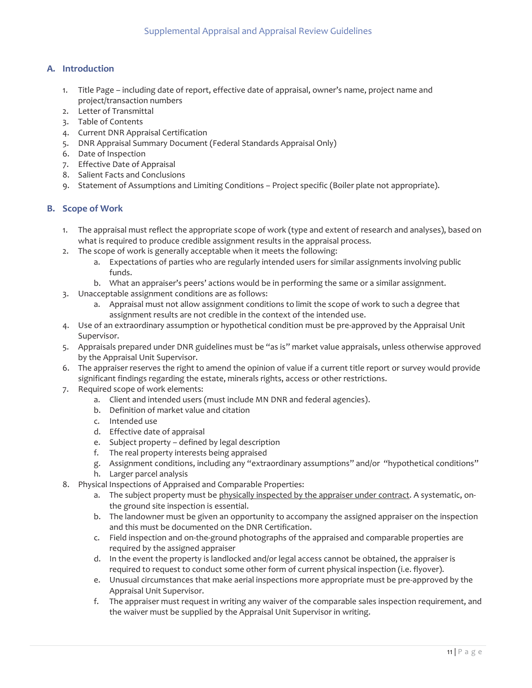# <span id="page-11-1"></span>**A. Introduction**

- 1. Title Page including date of report, effective date of appraisal, owner's name, project name and project/transaction numbers
- 2. Letter of Transmittal
- 3. Table of Contents
- 4. Current DNR Appraisal Certification
- 5. DNR Appraisal Summary Document (Federal Standards Appraisal Only)
- 6. Date of Inspection
- 7. Effective Date of Appraisal
- 8. Salient Facts and Conclusions
- 9. Statement of Assumptions and Limiting Conditions Project specific (Boiler plate not appropriate).

## <span id="page-11-0"></span>**B. Scope of Work**

- 1. The appraisal must reflect the appropriate scope of work (type and extent of research and analyses), based on what is required to produce credible assignment results in the appraisal process.
- 2. The scope of work is generally acceptable when it meets the following:
	- a. Expectations of parties who are regularly intended users for similar assignments involving public funds.
	- b. What an appraiser's peers' actions would be in performing the same or a similar assignment.
- 3. Unacceptable assignment conditions are as follows:
	- assignment results are not credible in the context of the intended use. a. Appraisal must not allow assignment conditions to limit the scope of work to such a degree that
- 4. Use of an extraordinary assumption or hypothetical condition must be pre-approved by the Appraisal Unit Supervisor.
- 5. Appraisals prepared under DNR guidelines must be "as is" market value appraisals, unless otherwise approved by the Appraisal Unit Supervisor.
- 6. The appraiser reserves the right to amend the opinion of value if a current title report or survey would provide significant findings regarding the estate, minerals rights, access or other restrictions.
- 7. Required scope of work elements:
	- a. Client and intended users (must include MN DNR and federal agencies).
	- b. Definition of market value and citation
	- c. Intended use
	- d. Effective date of appraisal
	- e. Subject property defined by legal description
	- f. The real property interests being appraised
	- g. Assignment conditions, including any "extraordinary assumptions" and/or "hypothetical conditions"
	- h. Larger parcel analysis
- 8. Physical Inspections of Appraised and Comparable Properties:
	- a. The subject property must be physically inspected by the appraiser under contract. A systematic, onthe ground site inspection is essential.
	- and this must be documented on the DNR Certification. b. The landowner must be given an opportunity to accompany the assigned appraiser on the inspection
	- c. Field inspection and on-the-ground photographs of the appraised and comparable properties are required by the assigned appraiser
	- d. In the event the property is landlocked and/or legal access cannot be obtained, the appraiser is required to request to conduct some other form of current physical inspection (i.e. flyover).
	- e. Unusual circumstances that make aerial inspections more appropriate must be pre-approved by the Appraisal Unit Supervisor.
	- f. The appraiser must request in writing any waiver of the comparable sales inspection requirement, and the waiver must be supplied by the Appraisal Unit Supervisor in writing.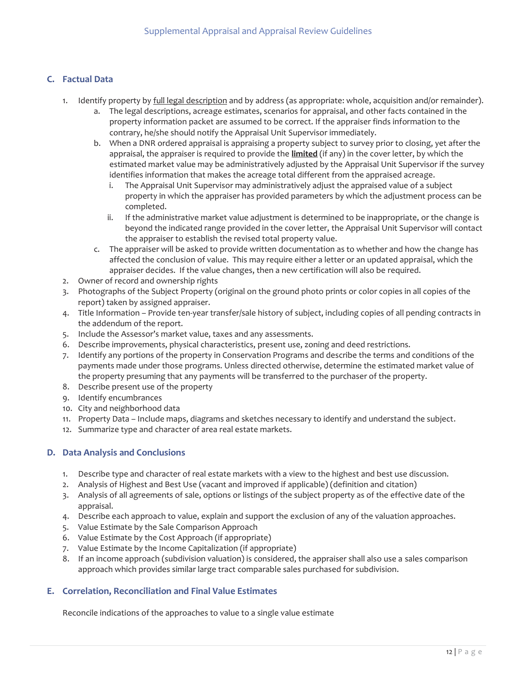# <span id="page-12-2"></span>**C. Factual Data**

- 1. Identify property by full legal description and by address (as appropriate: whole, acquisition and/or remainder).
	- a. The legal descriptions, acreage estimates, scenarios for appraisal, and other facts contained in the property information packet are assumed to be correct. If the appraiser finds information to the contrary, he/she should notify the Appraisal Unit Supervisor immediately.
	- estimated market value may be administratively adjusted by the Appraisal Unit Supervisor if the survey identifies information that makes the acreage total different from the appraised acreage. b. When a DNR ordered appraisal is appraising a property subject to survey prior to closing, yet after the appraisal, the appraiser is required to provide the **limited** (if any) in the cover letter, by which the
		- i. The Appraisal Unit Supervisor may administratively adjust the appraised value of a subject property in which the appraiser has provided parameters by which the adjustment process can be completed.
		- ii. If the administrative market value adjustment is determined to be inappropriate, or the change is beyond the indicated range provided in the cover letter, the Appraisal Unit Supervisor will contact the appraiser to establish the revised total property value.
	- appraiser decides. If the value changes, then a new certification will also be required. c. The appraiser will be asked to provide written documentation as to whether and how the change has affected the conclusion of value. This may require either a letter or an updated appraisal, which the
- 2. Owner of record and ownership rights
- 3. Photographs of the Subject Property (original on the ground photo prints or color copies in all copies of the report) taken by assigned appraiser.
- the addendum of the report. 4. Title Information – Provide ten-year transfer/sale history of subject, including copies of all pending contracts in
- 5. Include the Assessor's market value, taxes and any assessments.
- 6. Describe improvements, physical characteristics, present use, zoning and deed restrictions.
- 7. Identify any portions of the property in Conservation Programs and describe the terms and conditions of the payments made under those programs. Unless directed otherwise, determine the estimated market value of the property presuming that any payments will be transferred to the purchaser of the property.
- 8. Describe present use of the property
- 9. Identify encumbrances
- 10. City and neighborhood data
- 11. Property Data Include maps, diagrams and sketches necessary to identify and understand the subject.
- 12. Summarize type and character of area real estate markets.

# <span id="page-12-1"></span>**D. Data Analysis and Conclusions**

- 1. Describe type and character of real estate markets with a view to the highest and best use discussion.
- 2. Analysis of Highest and Best Use (vacant and improved if applicable) (definition and citation)
- 3. Analysis of all agreements of sale, options or listings of the subject property as of the effective date of the appraisal.
- 4. Describe each approach to value, explain and support the exclusion of any of the valuation approaches.
- 5. Value Estimate by the Sale Comparison Approach
- 6. Value Estimate by the Cost Approach (if appropriate)
- 7. Value Estimate by the Income Capitalization (if appropriate)
- approach which provides similar large tract comparable sales purchased for subdivision. 8. If an income approach (subdivision valuation) is considered, the appraiser shall also use a sales comparison

## <span id="page-12-0"></span>**E. Correlation, Reconciliation and Final Value Estimates**

Reconcile indications of the approaches to value to a single value estimate Reconcile indications of the approaches to value to a single value estimate  $12 | P a g e$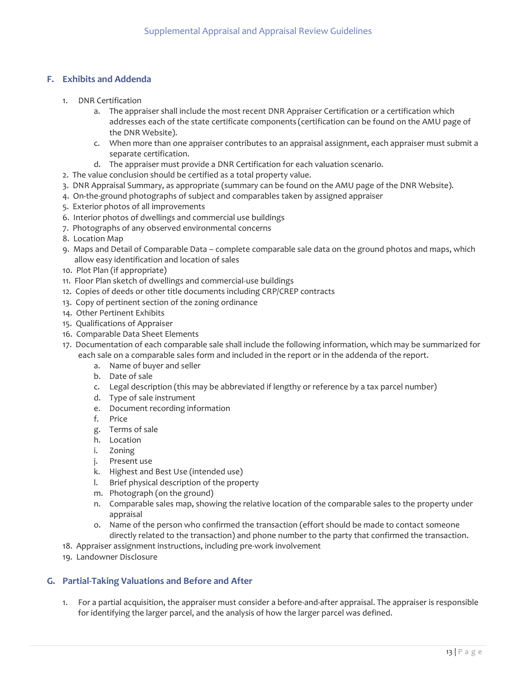# <span id="page-13-1"></span>**F. Exhibits and Addenda**

- 1. DNR Certification
	- a. The appraiser shall include the most recent DNR Appraiser Certification or a certification which addresses each of the state certificate components (certification can be found on the AMU page of the DNR Website).
	- c. When more than one appraiser contributes to an appraisal assignment, each appraiser must submit a separate certification.
	- d. The appraiser must provide a DNR Certification for each valuation scenario.
- 2. The value conclusion should be certified as a total property value.
- 3. DNR Appraisal Summary, as appropriate (summary can be found on the AMU page of the DNR Website).
- 4. On-the-ground photographs of subject and comparables taken by assigned appraiser
- 5. Exterior photos of all improvements
- 6. Interior photos of dwellings and commercial use buildings
- 7. Photographs of any observed environmental concerns
- 8. Location Map
- 9. Maps and Detail of Comparable Data complete comparable sale data on the ground photos and maps, which allow easy identification and location of sales
- 10. Plot Plan (if appropriate)
- 11. Floor Plan sketch of dwellings and commercial-use buildings
- 12. Copies of deeds or other title documents including CRP/CREP contracts
- 13. Copy of pertinent section of the zoning ordinance
- 14. Other Pertinent Exhibits
- 15. Qualifications of Appraiser
- 16. Comparable Data Sheet Elements
- 17. Documentation of each comparable sale shall include the following information, which may be summarized for each sale on a comparable sales form and included in the report or in the addenda of the report.
	- a. Name of buyer and seller
	- b. Date of sale
	- c. Legal description (this may be abbreviated if lengthy or reference by a tax parcel number)
	- d. Type of sale instrument
	- e. Document recording information
	- f. Price
	- g. Terms of sale
	- h. Location<br>i. Zoning
	-
	- j. Present use
	- k. Highest and Best Use (intended use)
	- k. Highest and Best Use (intended use)<br>l. Brief physical description of the property<br>m. Photograph (on the ground)
	-
	- n. Comparable sales map, showing the relative location of the comparable sales to the property under appraisal
- directly related to the transaction) and phone number to the party that confirmed the transaction.<br>18. Appraiser assignment instructions, including pre-work involvement<br>19. Landowner Disclosure o. Name of the person who confirmed the transaction (effort should be made to contact someone
- 18. Appraiser assignment instructions, including pre-work involvement
- 19. Landowner Disclosure

# <span id="page-13-0"></span> **G. Partial-Taking Valuations and Before and After**

 1. For a partial acquisition, the appraiser must consider a before-and-after appraisal. The appraiser is responsible for identifying the larger parcel, and the analysis of how the larger parcel was defined.<br>13 | P a g e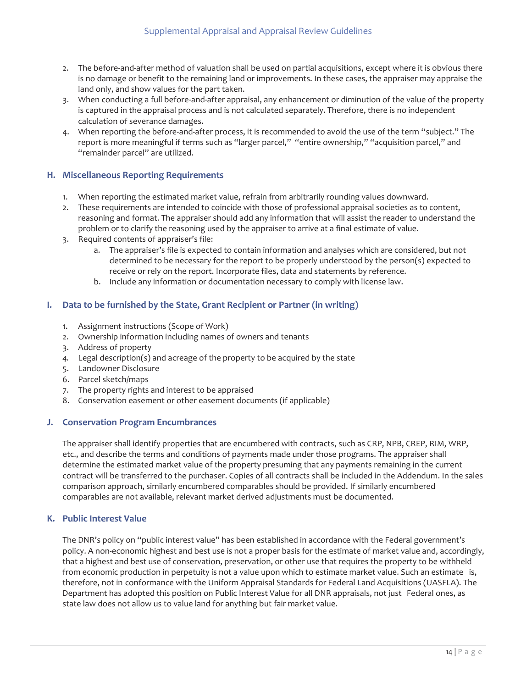- 2. The before-and-after method of valuation shall be used on partial acquisitions, except where it is obvious there is no damage or benefit to the remaining land or improvements. In these cases, the appraiser may appraise the land only, and show values for the part taken.
- 3. When conducting a full before-and-after appraisal, any enhancement or diminution of the value of the property is captured in the appraisal process and is not calculated separately. Therefore, there is no independent calculation of severance damages.
- 4. When reporting the before-and-after process, it is recommended to avoid the use of the term "subject." The report is more meaningful if terms such as "larger parcel," "entire ownership," "acquisition parcel," and "remainder parcel" are utilized.

# <span id="page-14-3"></span> **H. Miscellaneous Reporting Requirements**

- 1. When reporting the estimated market value, refrain from arbitrarily rounding values downward.
- problem or to clarify the reasoning used by the appraiser to arrive at a final estimate of value. 2. These requirements are intended to coincide with those of professional appraisal societies as to content, reasoning and format. The appraiser should add any information that will assist the reader to understand the
- 3. Required contents of appraiser's file:
	- receive or rely on the report. Incorporate files, data and statements by reference. a. The appraiser's file is expected to contain information and analyses which are considered, but not determined to be necessary for the report to be properly understood by the person(s) expected to
	- receive or rely on the report. Incorporate files, data and statements by reference.<br>b. Include any information or documentation necessary to comply with license law.

# <span id="page-14-2"></span> **I. Data to be furnished by the State, Grant Recipient or Partner (in writing)**

- 1. Assignment instructions (Scope of Work)
- 2. Ownership information including names of owners and tenants
- 3. Address of property
- *4.* Legal description(s) and acreage of the property to be acquired by the state
- 5. Landowner Disclosure
- 6. Parcel sketch/maps
- 7. The property rights and interest to be appraised
- 8. Conservation easement or other easement documents (if applicable)

# <span id="page-14-1"></span> **J. Conservation Program Encumbrances**

The appraiser shall identify properties that are encumbered with contracts, such as CRP, NPB, CREP, RIM, WRP, etc., and describe the terms and conditions of payments made under those programs. The appraiser shall determine the estimated market value of the property presuming that any payments remaining in the current contract will be transferred to the purchaser. Copies of all contracts shall be included in the Addendum. In the sales comparison approach, similarly encumbered comparables should be provided. If similarly encumbered comparables are not available, relevant market derived adjustments must be documented.

## <span id="page-14-0"></span>**K. Public Interest Value**

 that a highest and best use of conservation, preservation, or other use that requires the property to be withheld The DNR's policy on "public interest value" has been established in accordance with the Federal government's policy. A non-economic highest and best use is not a proper basis for the estimate of market value and, accordingly, from economic production in perpetuity is not a value upon which to estimate market value. Such an estimate is, therefore, not in conformance with the Uniform Appraisal Standards for Federal Land Acquisitions (UASFLA). The Department has adopted this position on Public Interest Value for all DNR appraisals, not just Federal ones, as state law does not allow us to value land for anything but fair market value.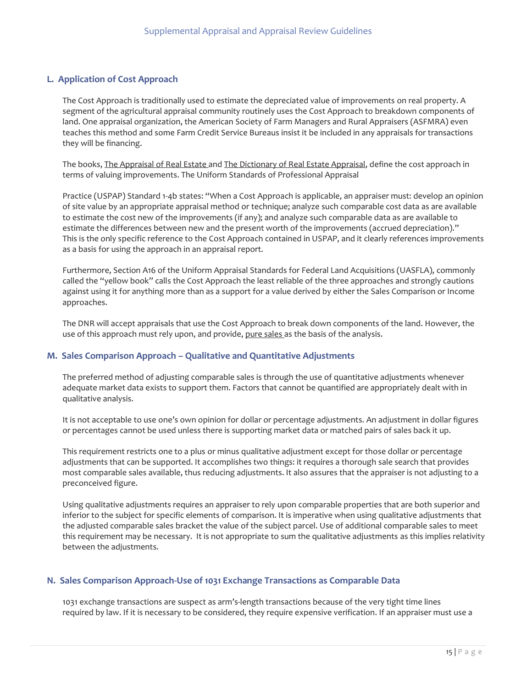# <span id="page-15-2"></span> **L. Application of Cost Approach**

The Cost Approach is traditionally used to estimate the depreciated value of improvements on real property. A segment of the agricultural appraisal community routinely uses the Cost Approach to breakdown components of land. One appraisal organization, the American Society of Farm Managers and Rural Appraisers (ASFMRA) even teaches this method and some Farm Credit Service Bureaus insist it be included in any appraisals for transactions they will be financing.

The books, The Appraisal of Real Estate and The Dictionary of Real Estate Appraisal, define the cost approach in terms of valuing improvements. The Uniform Standards of Professional Appraisal

Practice (USPAP) Standard 1-4b states: "When a Cost Approach is applicable, an appraiser must: develop an opinion of site value by an appropriate appraisal method or technique; analyze such comparable cost data as are available to estimate the cost new of the improvements (if any); and analyze such comparable data as are available to estimate the differences between new and the present worth of the improvements (accrued depreciation)." This is the only specific reference to the Cost Approach contained in USPAP, and it clearly references improvements as a basis for using the approach in an appraisal report.

Furthermore, Section A16 of the Uniform Appraisal Standards for Federal Land Acquisitions (UASFLA), commonly called the "yellow book" calls the Cost Approach the least reliable of the three approaches and strongly cautions against using it for anything more than as a support for a value derived by either the Sales Comparison or Income approaches.

 The DNR will accept appraisals that use the Cost Approach to break down components of the land. However, the use of this approach must rely upon, and provide, pure sales as the basis of the analysis.

## <span id="page-15-1"></span>**M. Sales Comparison Approach – Qualitative and Quantitative Adjustments**

The preferred method of adjusting comparable sales is through the use of quantitative adjustments whenever adequate market data exists to support them. Factors that cannot be quantified are appropriately dealt with in qualitative analysis.

It is not acceptable to use one's own opinion for dollar or percentage adjustments. An adjustment in dollar figures or percentages cannot be used unless there is supporting market data or matched pairs of sales back it up.

This requirement restricts one to a plus or minus qualitative adjustment except for those dollar or percentage adjustments that can be supported. It accomplishes two things: it requires a thorough sale search that provides most comparable sales available, thus reducing adjustments. It also assures that the appraiser is not adjusting to a preconceived figure.

Using qualitative adjustments requires an appraiser to rely upon comparable properties that are both superior and inferior to the subject for specific elements of comparison. It is imperative when using qualitative adjustments that the adjusted comparable sales bracket the value of the subject parcel. Use of additional comparable sales to meet this requirement may be necessary. It is not appropriate to sum the qualitative adjustments as this implies relativity between the adjustments.

# <span id="page-15-0"></span> **N. Sales Comparison Approach-Use of 1031 Exchange Transactions as Comparable Data**

1031 exchange transactions are suspect as arm's-length transactions because of the very tight time lines required by law. If it is necessary to be considered, they require expensive verification. If an appraiser must use a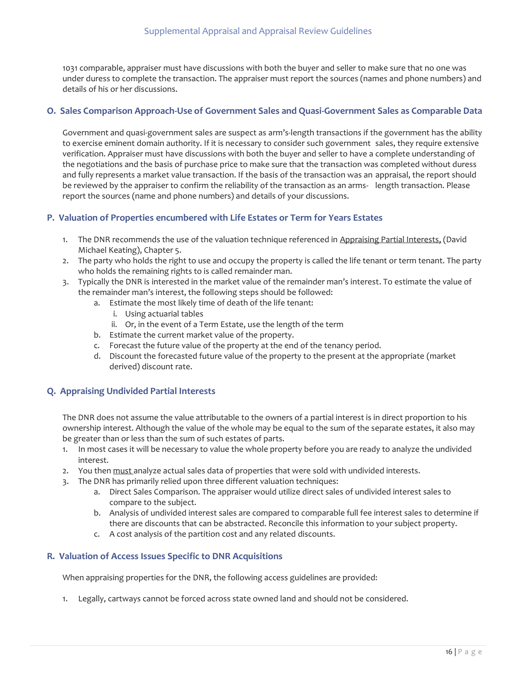1031 comparable, appraiser must have discussions with both the buyer and seller to make sure that no one was under duress to complete the transaction. The appraiser must report the sources (names and phone numbers) and details of his or her discussions.

# <span id="page-16-3"></span> **O. Sales Comparison Approach-Use of Government Sales and Quasi-Government Sales as Comparable Data**

 report the sources (name and phone numbers) and details of your discussions. Government and quasi-government sales are suspect as arm's-length transactions if the government has the ability to exercise eminent domain authority. If it is necessary to consider such government sales, they require extensive verification. Appraiser must have discussions with both the buyer and seller to have a complete understanding of the negotiations and the basis of purchase price to make sure that the transaction was completed without duress and fully represents a market value transaction. If the basis of the transaction was an appraisal, the report should be reviewed by the appraiser to confirm the reliability of the transaction as an arms- length transaction. Please

## <span id="page-16-2"></span>**P. Valuation of Properties encumbered with Life Estates or Term for Years Estates**

- 1. The DNR recommends the use of the valuation technique referenced in Appraising Partial Interests, (David Michael Keating), Chapter 5.
- 2. The party who holds the right to use and occupy the property is called the life tenant or term tenant. The party who holds the remaining rights to is called remainder man.
- 3. Typically the DNR is interested in the market value of the remainder man's interest. To estimate the value of the remainder man's interest, the following steps should be followed:
	- a. Estimate the most likely time of death of the life tenant:
		- i. Using actuarial tables
	- ii. Or, in the event of a Term Estate, use the length of the term b. Estimate the current market value of the property.
	- b. Estimate the current market value of the property.
	- c. Forecast the future value of the property at the end of the tenancy period.
	- d. Discount the forecasted future value of the property to the present at the appropriate (market derived) discount rate.

# <span id="page-16-1"></span> **Q. Appraising Undivided Partial Interests**

The DNR does not assume the value attributable to the owners of a partial interest is in direct proportion to his ownership interest. Although the value of the whole may be equal to the sum of the separate estates, it also may be greater than or less than the sum of such estates of parts.

- 1. In most cases it will be necessary to value the whole property before you are ready to analyze the undivided interest.
- 2. You then must analyze actual sales data of properties that were sold with undivided interests.
- 3. The DNR has primarily relied upon three different valuation techniques:
	- a. Direct Sales Comparison. The appraiser would utilize direct sales of undivided interest sales to compare to the subject.
	- b. Analysis of undivided interest sales are compared to comparable full fee interest sales to determine if there are discounts that can be abstracted. Reconcile this information to your subject property.
	- c. A cost analysis of the partition cost and any related discounts.

# <span id="page-16-0"></span> **R. Valuation of Access Issues Specific to DNR Acquisitions**

When appraising properties for the DNR, the following access guidelines are provided:

1. Legally, cartways cannot be forced across state owned land and should not be considered.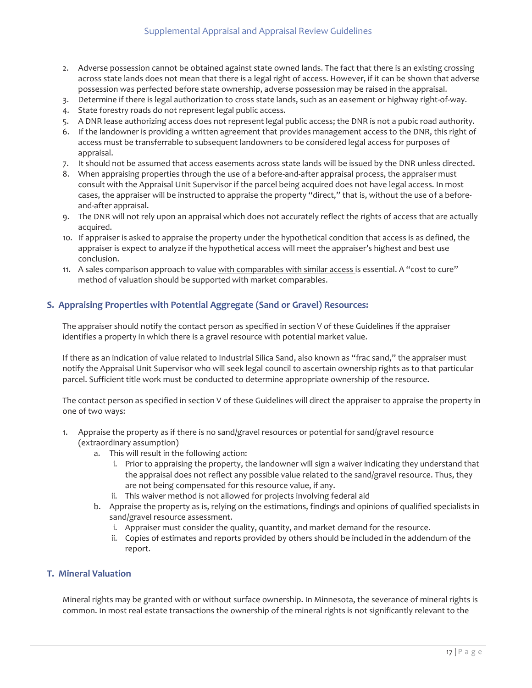- 2. Adverse possession cannot be obtained against state owned lands. The fact that there is an existing crossing across state lands does not mean that there is a legal right of access. However, if it can be shown that adverse possession was perfected before state ownership, adverse possession may be raised in the appraisal.
- 3. Determine if there is legal authorization to cross state lands, such as an easement or highway right-of-way.
- 4. State forestry roads do not represent legal public access.
- 5. A DNR lease authorizing access does not represent legal public access; the DNR is not a pubic road authority.
- 6. If the landowner is providing a written agreement that provides management access to the DNR, this right of access must be transferrable to subsequent landowners to be considered legal access for purposes of appraisal.
- 7. It should not be assumed that access easements across state lands will be issued by the DNR unless directed.
- 8. When appraising properties through the use of a before-and-after appraisal process, the appraiser must consult with the Appraisal Unit Supervisor if the parcel being acquired does not have legal access. In most cases, the appraiser will be instructed to appraise the property "direct," that is, without the use of a beforeand-after appraisal.
- 9. The DNR will not rely upon an appraisal which does not accurately reflect the rights of access that are actually acquired.
- conclusion. 10. If appraiser is asked to appraise the property under the hypothetical condition that access is as defined, the appraiser is expect to analyze if the hypothetical access will meet the appraiser's highest and best use
- 11. A sales comparison approach to value with comparables with similar access is essential. A "cost to cure" method of valuation should be supported with market comparables.

# <span id="page-17-1"></span>**S. Appraising Properties with Potential Aggregate (Sand or Gravel) Resources:**

The appraiser should notify the contact person as specified in section V of these Guidelines if the appraiser identifies a property in which there is a gravel resource with potential market value.

 notify the Appraisal Unit Supervisor who will seek legal council to ascertain ownership rights as to that particular If there as an indication of value related to Industrial Silica Sand, also known as "frac sand," the appraiser must parcel. Sufficient title work must be conducted to determine appropriate ownership of the resource.

one of two ways: The contact person as specified in section V of these Guidelines will direct the appraiser to appraise the property in

- 1. Appraise the property as if there is no sand/gravel resources or potential for sand/gravel resource (extraordinary assumption)
	- a. This will result in the following action:
		- i. Prior to appraising the property, the landowner will sign a waiver indicating they understand that the appraisal does not reflect any possible value related to the sand/gravel resource. Thus, they are not being compensated for this resource value, if any.
		- ii. This waiver method is not allowed for projects involving federal aid
	- b. Appraise the property as is, relying on the estimations, findings and opinions of qualified specialists in sand/gravel resource assessment.
		- i. Appraiser must consider the quality, quantity, and market demand for the resource.
		- report. ii. Copies of estimates and reports provided by others should be included in the addendum of the

# <span id="page-17-0"></span>**T. Mineral Valuation**

Mineral rights may be granted with or without surface ownership. In Minnesota, the severance of mineral rights is common. In most real estate transactions the ownership of the mineral rights is not significantly relevant to the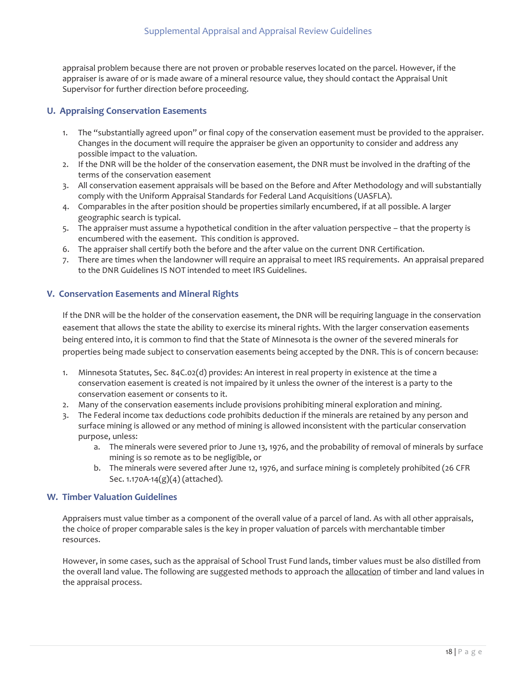appraisal problem because there are not proven or probable reserves located on the parcel. However, if the appraiser is aware of or is made aware of a mineral resource value, they should contact the Appraisal Unit Supervisor for further direction before proceeding.

# <span id="page-18-2"></span> **U. Appraising Conservation Easements**

- 1. The "substantially agreed upon" or final copy of the conservation easement must be provided to the appraiser. Changes in the document will require the appraiser be given an opportunity to consider and address any possible impact to the valuation.
- 2. If the DNR will be the holder of the conservation easement, the DNR must be involved in the drafting of the terms of the conservation easement
- comply with the Uniform Appraisal Standards for Federal Land Acquisitions (UASFLA). 3. All conservation easement appraisals will be based on the Before and After Methodology and will substantially
- 4. Comparables in the after position should be properties similarly encumbered, if at all possible. A larger geographic search is typical.
- 5. The appraiser must assume a hypothetical condition in the after valuation perspective that the property is encumbered with the easement. This condition is approved.
- 6. The appraiser shall certify both the before and the after value on the current DNR Certification.
- 7. There are times when the landowner will require an appraisal to meet IRS requirements. An appraisal prepared to the DNR Guidelines IS NOT intended to meet IRS Guidelines.

## <span id="page-18-1"></span>**V. Conservation Easements and Mineral Rights**

If the DNR will be the holder of the conservation easement, the DNR will be requiring language in the conservation easement that allows the state the ability to exercise its mineral rights. With the larger conservation easements being entered into, it is common to find that the State of Minnesota is the owner of the severed minerals for properties being made subject to conservation easements being accepted by the DNR. This is of concern because:

- 1. Minnesota Statutes, Sec. 84C.02(d) provides: An interest in real property in existence at the time a conservation easement is created is not impaired by it unless the owner of the interest is a party to the conservation easement or consents to it.
- 2. Many of the conservation easements include provisions prohibiting mineral exploration and mining.
- 3. The Federal income tax deductions code prohibits deduction if the minerals are retained by any person and surface mining is allowed or any method of mining is allowed inconsistent with the particular conservation purpose, unless:
	- a. The minerals were severed prior to June 13, 1976, and the probability of removal of minerals by surface mining is so remote as to be negligible, or
	- b. The minerals were severed after June 12, 1976, and surface mining is completely prohibited (26 CFR Sec. 1.170A-14(g)(4) (attached).

# <span id="page-18-0"></span> **W. Timber Valuation Guidelines**

Appraisers must value timber as a component of the overall value of a parcel of land. As with all other appraisals, the choice of proper comparable sales is the key in proper valuation of parcels with merchantable timber resources.

 However, in some cases, such as the appraisal of School Trust Fund lands, timber values must be also distilled from the overall land value. The following are suggested methods to approach the allocation of timber and land values in the appraisal process.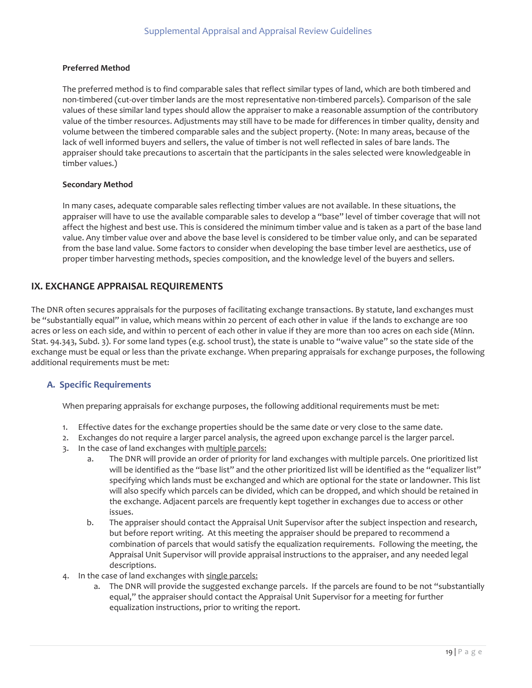#### **Preferred Method**

 timber values.) The preferred method is to find comparable sales that reflect similar types of land, which are both timbered and non-timbered (cut-over timber lands are the most representative non-timbered parcels). Comparison of the sale values of these similar land types should allow the appraiser to make a reasonable assumption of the contributory value of the timber resources. Adjustments may still have to be made for differences in timber quality, density and volume between the timbered comparable sales and the subject property. (Note: In many areas, because of the lack of well informed buyers and sellers, the value of timber is not well reflected in sales of bare lands. The appraiser should take precautions to ascertain that the participants in the sales selected were knowledgeable in

#### **Secondary Method**

 appraiser will have to use the available comparable sales to develop a "base" level of timber coverage that will not affect the highest and best use. This is considered the minimum timber value and is taken as a part of the base land In many cases, adequate comparable sales reflecting timber values are not available. In these situations, the value. Any timber value over and above the base level is considered to be timber value only, and can be separated from the base land value. Some factors to consider when developing the base timber level are aesthetics, use of proper timber harvesting methods, species composition, and the knowledge level of the buyers and sellers.

# <span id="page-19-1"></span>**IX. EXCHANGE APPRAISAL REQUIREMENTS**

The DNR often secures appraisals for the purposes of facilitating exchange transactions. By statute, land exchanges must be "substantially equal" in value, which means within 20 percent of each other in value if the lands to exchange are 100 acres or less on each side, and within 10 percent of each other in value if they are more than 100 acres on each side (Minn. Stat. 94.343, Subd. 3). For some land types (e.g. school trust), the state is unable to "waive value" so the state side of the exchange must be equal or less than the private exchange. When preparing appraisals for exchange purposes, the following additional requirements must be met:

# <span id="page-19-0"></span>**A. Specific Requirements**

When preparing appraisals for exchange purposes, the following additional requirements must be met:

- 1. Effective dates for the exchange properties should be the same date or very close to the same date.
- 2. Exchanges do not require a larger parcel analysis, the agreed upon exchange parcel is the larger parcel.
- 3. In the case of land exchanges with multiple parcels:
	- the exchange. Adjacent parcels are frequently kept together in exchanges due to access or other a. The DNR will provide an order of priority for land exchanges with multiple parcels. One prioritized list will be identified as the "base list" and the other prioritized list will be identified as the "equalizer list" specifying which lands must be exchanged and which are optional for the state or landowner. This list will also specify which parcels can be divided, which can be dropped, and which should be retained in issues.
	- b. The appraiser should contact the Appraisal Unit Supervisor after the subject inspection and research, but before report writing. At this meeting the appraiser should be prepared to recommend a combination of parcels that would satisfy the equalization requirements. Following the meeting, the Appraisal Unit Supervisor will provide appraisal instructions to the appraiser, and any needed legal descriptions.
- 4. In the case of land exchanges with single parcels:
	- a. The DNR will provide the suggested exchange parcels. If the parcels are found to be not "substantially equal," the appraiser should contact the Appraisal Unit Supervisor for a meeting for further equalization instructions, prior to writing the report.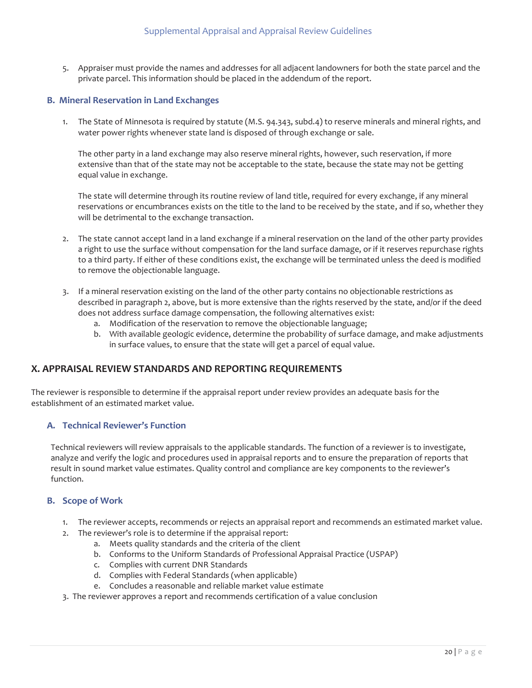5. Appraiser must provide the names and addresses for all adjacent landowners for both the state parcel and the private parcel. This information should be placed in the addendum of the report.

# <span id="page-20-3"></span> **B. Mineral Reservation in Land Exchanges**

1. The State of Minnesota is required by statute (M.S. 94.343, subd.4) to reserve minerals and mineral rights, and water power rights whenever state land is disposed of through exchange or sale.

The other party in a land exchange may also reserve mineral rights, however, such reservation, if more extensive than that of the state may not be acceptable to the state, because the state may not be getting equal value in exchange.

The state will determine through its routine review of land title, required for every exchange, if any mineral reservations or encumbrances exists on the title to the land to be received by the state, and if so, whether they will be detrimental to the exchange transaction.

- 2. The state cannot accept land in a land exchange if a mineral reservation on the land of the other party provides a right to use the surface without compensation for the land surface damage, or if it reserves repurchase rights to a third party. If either of these conditions exist, the exchange will be terminated unless the deed is modified to remove the objectionable language.
- 3. If a mineral reservation existing on the land of the other party contains no objectionable restrictions as described in paragraph 2, above, but is more extensive than the rights reserved by the state, and/or if the deed does not address surface damage compensation, the following alternatives exist:
	- a. Modification of the reservation to remove the objectionable language;
	- b. With available geologic evidence, determine the probability of surface damage, and make adjustments in surface values, to ensure that the state will get a parcel of equal value.

# <span id="page-20-2"></span>**X. APPRAISAL REVIEW STANDARDS AND REPORTING REQUIREMENTS**

 The reviewer is responsible to determine if the appraisal report under review provides an adequate basis for the establishment of an estimated market value.

## <span id="page-20-1"></span>**A. Technical Reviewer's Function**

Technical reviewers will review appraisals to the applicable standards. The function of a reviewer is to investigate, analyze and verify the logic and procedures used in appraisal reports and to ensure the preparation of reports that result in sound market value estimates. Quality control and compliance are key components to the reviewer's function.

#### <span id="page-20-0"></span>**B. Scope of Work**

- 1. The reviewer accepts, recommends or rejects an appraisal report and recommends an estimated market value.<br>2. The reviewer's role is to determine if the appraisal report:
- - a. Meets quality standards and the criteria of the client
	- b. Conforms to the Uniform Standards of Professional Appraisal Practice (USPAP)
	- c. Complies with current DNR Standards
	- d. Complies with Federal Standards (when applicable)
	- e. Concludes a reasonable and reliable market value estimate
- d. Complies with Federal Standards (when applicable) e. Concludes a reasonable and reliable market value estimate e. Concludes a reasonable and reliable market value estimate 3. The reviewer approves a report a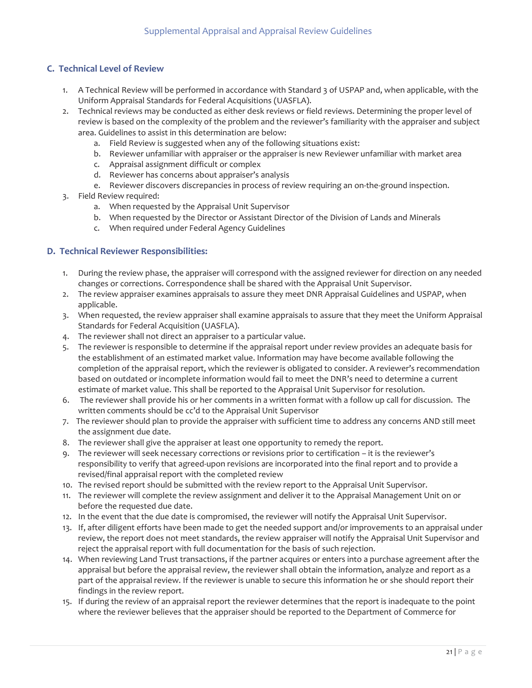# <span id="page-21-1"></span> **C. Technical Level of Review**

- Uniform Appraisal Standards for Federal Acquisitions (UASFLA). 1. A Technical Review will be performed in accordance with Standard 3 of USPAP and, when applicable, with the
- area. Guidelines to assist in this determination are below: 2. Technical reviews may be conducted as either desk reviews or field reviews. Determining the proper level of review is based on the complexity of the problem and the reviewer's familiarity with the appraiser and subject
	- a. Field Review is suggested when any of the following situations exist:
	- b. Reviewer unfamiliar with appraiser or the appraiser is new Reviewer unfamiliar with market area
	- c. Appraisal assignment difficult or complex
	- d. Reviewer has concerns about appraiser's analysis
	- e. Reviewer discovers discrepancies in process of review requiring an on-the-ground inspection.
- 3. Field Review required:
	- a. When requested by the Appraisal Unit Supervisor
	- b. When requested by the Director or Assistant Director of the Division of Lands and Minerals
	- c. When required under Federal Agency Guidelines

# <span id="page-21-0"></span>**D. Technical Reviewer Responsibilities:**

- 1. During the review phase, the appraiser will correspond with the assigned reviewer for direction on any needed changes or corrections. Correspondence shall be shared with the Appraisal Unit Supervisor.
- 2. The review appraiser examines appraisals to assure they meet DNR Appraisal Guidelines and USPAP, when applicable.
- 3. When requested, the review appraiser shall examine appraisals to assure that they meet the Uniform Appraisal Standards for Federal Acquisition (UASFLA).
- 4. The reviewer shall not direct an appraiser to a particular value.
- completion of the appraisal report, which the reviewer is obligated to consider. A reviewer's recommendation 5. The reviewer is responsible to determine if the appraisal report under review provides an adequate basis for the establishment of an estimated market value. Information may have become available following the based on outdated or incomplete information would fail to meet the DNR's need to determine a current estimate of market value. This shall be reported to the Appraisal Unit Supervisor for resolution.
- 6. The reviewer shall provide his or her comments in a written format with a follow up call for discussion. The written comments should be cc'd to the Appraisal Unit Supervisor
- 7. The reviewer should plan to provide the appraiser with sufficient time to address any concerns AND still meet the assignment due date.
- 8. The reviewer shall give the appraiser at least one opportunity to remedy the report.
- 9. The reviewer will seek necessary corrections or revisions prior to certification it is the reviewer's responsibility to verify that agreed-upon revisions are incorporated into the final report and to provide a revised/final appraisal report with the completed review
- 10. The revised report should be submitted with the review report to the Appraisal Unit Supervisor.
- 11. The reviewer will complete the review assignment and deliver it to the Appraisal Management Unit on or before the requested due date.
- 12. In the event that the due date is compromised, the reviewer will notify the Appraisal Unit Supervisor.
- 13. If, after diligent efforts have been made to get the needed support and/or improvements to an appraisal under review, the report does not meet standards, the review appraiser will notify the Appraisal Unit Supervisor and reject the appraisal report with full documentation for the basis of such rejection.
- part of the appraisal review. If the reviewer is unable to secure this information he or she should report their findings in the review report. 14. When reviewing Land Trust transactions, if the partner acquires or enters into a purchase agreement after the appraisal but before the appraisal review, the reviewer shall obtain the information, analyze and report as a
- 15. If during the review of an appraisal report the reviewer determines that the report is inadequate to the point where the reviewer believes that the appraiser should be reported to the Department of Commerce for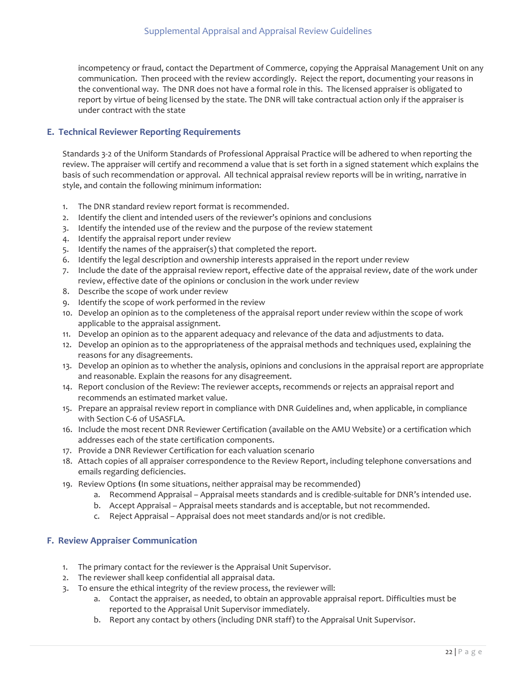incompetency or fraud, contact the Department of Commerce, copying the Appraisal Management Unit on any communication. Then proceed with the review accordingly. Reject the report, documenting your reasons in the conventional way. The DNR does not have a formal role in this. The licensed appraiser is obligated to report by virtue of being licensed by the state. The DNR will take contractual action only if the appraiser is under contract with the state

#### <span id="page-22-1"></span>**E. Technical Reviewer Reporting Requirements**

Standards 3-2 of the Uniform Standards of Professional Appraisal Practice will be adhered to when reporting the review. The appraiser will certify and recommend a value that is set forth in a signed statement which explains the basis of such recommendation or approval. All technical appraisal review reports will be in writing, narrative in style, and contain the following minimum information:

- 1. The DNR standard review report format is recommended.
- 2. Identify the client and intended users of the reviewer's opinions and conclusions
- 3. Identify the intended use of the review and the purpose of the review statement
- 4. Identify the appraisal report under review
- 5. Identify the names of the appraiser(s) that completed the report.
- 6. Identify the legal description and ownership interests appraised in the report under review
- 7. Include the date of the appraisal review report, effective date of the appraisal review, date of the work under review, effective date of the opinions or conclusion in the work under review
- 8. Describe the scope of work under review
- 9. Identify the scope of work performed in the review
- 10. Develop an opinion as to the completeness of the appraisal report under review within the scope of work applicable to the appraisal assignment.
- 11. Develop an opinion as to the apparent adequacy and relevance of the data and adjustments to data.
- 12. Develop an opinion as to the appropriateness of the appraisal methods and techniques used, explaining the reasons for any disagreements.
- 13. Develop an opinion as to whether the analysis, opinions and conclusions in the appraisal report are appropriate and reasonable. Explain the reasons for any disagreement.
- recommends an estimated market value. 14. Report conclusion of the Review: The reviewer accepts, recommends or rejects an appraisal report and
- with Section C-6 of USASFLA. 15. Prepare an appraisal review report in compliance with DNR Guidelines and, when applicable, in compliance
- 16. Include the most recent DNR Reviewer Certification (available on the AMU Website) or a certification which addresses each of the state certification components.
- 17. Provide a DNR Reviewer Certification for each valuation scenario
- 18. Attach copies of all appraiser correspondence to the Review Report, including telephone conversations and emails regarding deficiencies.
- 19. Review Options **(**In some situations, neither appraisal may be recommended)
	- a. Recommend Appraisal Appraisal meets standards and is credible-suitable for DNR's intended use.
	- b. Accept Appraisal Appraisal meets standards and is acceptable, but not recommended.
	- c. Reject Appraisal Appraisal does not meet standards and/or is not credible.

## <span id="page-22-0"></span>**F. Review Appraiser Communication**

- 1. The primary contact for the reviewer is the Appraisal Unit Supervisor.
- 2. The reviewer shall keep confidential all appraisal data.
- 3. To ensure the ethical integrity of the review process, the reviewer will:
	- a. Contact the appraiser, as needed, to obtain an approvable appraisal report. Difficulties must be reported to the Appraisal Unit Supervisor immediately.
	- b. Report any contact by others (including DNR staff) to the Appraisal Unit Supervisor.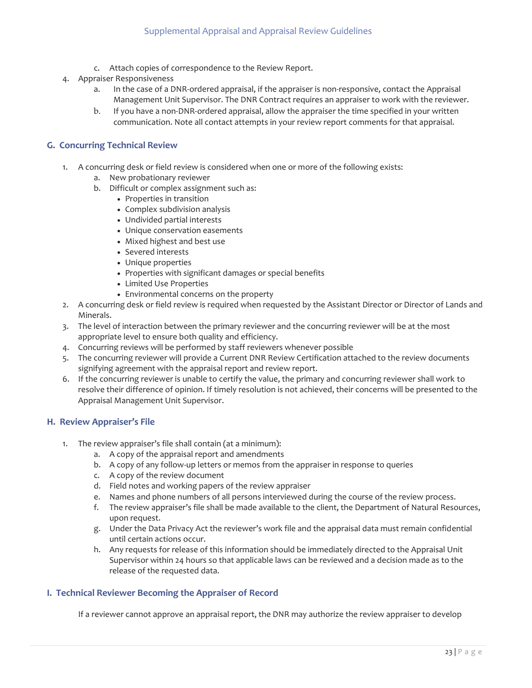- c. Attach copies of correspondence to the Review Report.
- 4. Appraiser Responsiveness
	- a. In the case of a DNR-ordered appraisal, if the appraiser is non-responsive, contact the Appraisal Management Unit Supervisor. The DNR Contract requires an appraiser to work with the reviewer.
	- b. If you have a non-DNR-ordered appraisal, allow the appraiser the time specified in your written communication. Note all contact attempts in your review report comments for that appraisal.

# <span id="page-23-2"></span>**G. Concurring Technical Review**

- 1. A concurring desk or field review is considered when one or more of the following exists:
	- a. New probationary reviewer
	- b. Difficult or complex assignment such as:
		- Properties in transition
		- Complex subdivision analysis
		- Undivided partial interests
		- Unique conservation easements
		- Mixed highest and best use
		- Severed interests
		- Unique properties
		- Properties with significant damages or special benefits
		- Limited Use Properties
		- Environmental concerns on the property
- 2. A concurring desk or field review is required when requested by the Assistant Director or Director of Lands and Minerals.
- 3. The level of interaction between the primary reviewer and the concurring reviewer will be at the most appropriate level to ensure both quality and efficiency.
- 4. Concurring reviews will be performed by staff reviewers whenever possible
- 5. The concurring reviewer will provide a Current DNR Review Certification attached to the review documents signifying agreement with the appraisal report and review report.
- 6. If the concurring reviewer is unable to certify the value, the primary and concurring reviewer shall work to resolve their difference of opinion. If timely resolution is not achieved, their concerns will be presented to the Appraisal Management Unit Supervisor.

## <span id="page-23-1"></span>**H. Review Appraiser's File**

- 1. The review appraiser's file shall contain (at a minimum):
	- a. A copy of the appraisal report and amendments
	- b. A copy of any follow-up letters or memos from the appraiser in response to queries
	- c. A copy of the review document
	- d. Field notes and working papers of the review appraiser
	- e. Names and phone numbers of all persons interviewed during the course of the review process.
	- upon request. f. The review appraiser's file shall be made available to the client, the Department of Natural Resources,
	- until certain actions occur. g. Under the Data Privacy Act the reviewer's work file and the appraisal data must remain confidential
	- release of the requested data. h. Any requests for release of this information should be immediately directed to the Appraisal Unit Supervisor within 24 hours so that applicable laws can be reviewed and a decision made as to the

## <span id="page-23-0"></span>**I. Technical Reviewer Becoming the Appraiser of Record**

If a reviewer cannot approve an appraisal report, the DNR may authorize the review appraiser to develop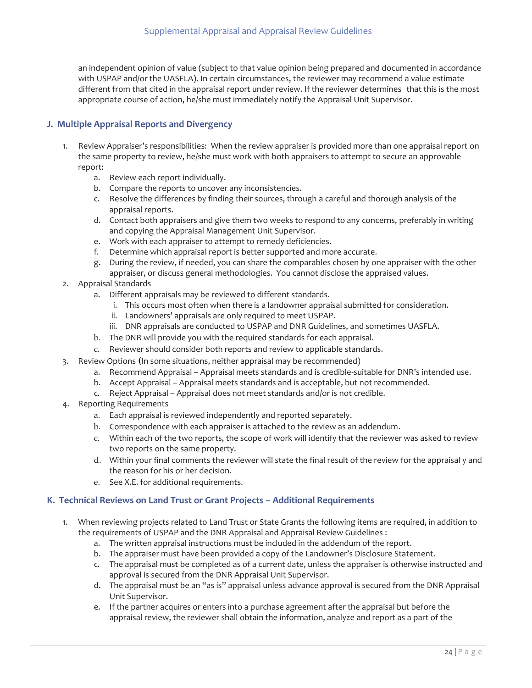different from that cited in the appraisal report under review. If the reviewer determines that this is the most an independent opinion of value (subject to that value opinion being prepared and documented in accordance with USPAP and/or the UASFLA). In certain circumstances, the reviewer may recommend a value estimate appropriate course of action, he/she must immediately notify the Appraisal Unit Supervisor.

# <span id="page-24-1"></span>**J. Multiple Appraisal Reports and Divergency**

- report: 1. Review Appraiser's responsibilities: When the review appraiser is provided more than one appraisal report on the same property to review, he/she must work with both appraisers to attempt to secure an approvable
	- a. Review each report individually.
	- b. Compare the reports to uncover any inconsistencies.
	- c. Resolve the differences by finding their sources, through a careful and thorough analysis of the appraisal reports.
	- d. Contact both appraisers and give them two weeks to respond to any concerns, preferably in writing and copying the Appraisal Management Unit Supervisor.
	- e. Work with each appraiser to attempt to remedy deficiencies.
	- f. Determine which appraisal report is better supported and more accurate.
	- g. During the review, if needed, you can share the comparables chosen by one appraiser with the other appraiser, or discuss general methodologies. You cannot disclose the appraised values.
- 2. Appraisal Standards
	- a. Different appraisals may be reviewed to different standards.
		- i. This occurs most often when there is a landowner appraisal submitted for consideration.
		- ii. Landowners' appraisals are only required to meet USPAP.
		- iii. DNR appraisals are conducted to USPAP and DNR Guidelines, and sometimes UASFLA.
	- b. The DNR will provide you with the required standards for each appraisal.
	- c. Reviewer should consider both reports and review to applicable standards.
- 3. Review Options (In some situations, neither appraisal may be recommended)
	- a. Recommend Appraisal Appraisal meets standards and is credible-suitable for DNR's intended use.
	- b. Accept Appraisal Appraisal meets standards and is acceptable, but not recommended.
	- c. Reject Appraisal Appraisal does not meet standards and/or is not credible.
- 4. Reporting Requirements
	- a. Each appraisal is reviewed independently and reported separately.
	- b. Correspondence with each appraiser is attached to the review as an addendum.
	- c. Within each of the two reports, the scope of work will identify that the reviewer was asked to review two reports on the same property.
	- d. Within your final comments the reviewer will state the final result of the review for the appraisal y and the reason for his or her decision.
	- e. See X.E. for additional requirements.

## <span id="page-24-0"></span>**K. Technical Reviews on Land Trust or Grant Projects – Additional Requirements**

- 1. When reviewing projects related to Land Trust or State Grants the following items are required, in addition to the requirements of USPAP and the DNR Appraisal and Appraisal Review Guidelines :
	- a. The written appraisal instructions must be included in the addendum of the report.
	- b. The appraiser must have been provided a copy of the Landowner's Disclosure Statement.
	- c. The appraisal must be completed as of a current date, unless the appraiser is otherwise instructed and approval is secured from the DNR Appraisal Unit Supervisor.
	- d. The appraisal must be an "as is" appraisal unless advance approval is secured from the DNR Appraisal Unit Supervisor.
	- e. If the partner acquires or enters into a purchase agreement after the appraisal but before the appraisal review, the reviewer shall obtain the information, analyze and report as a part of the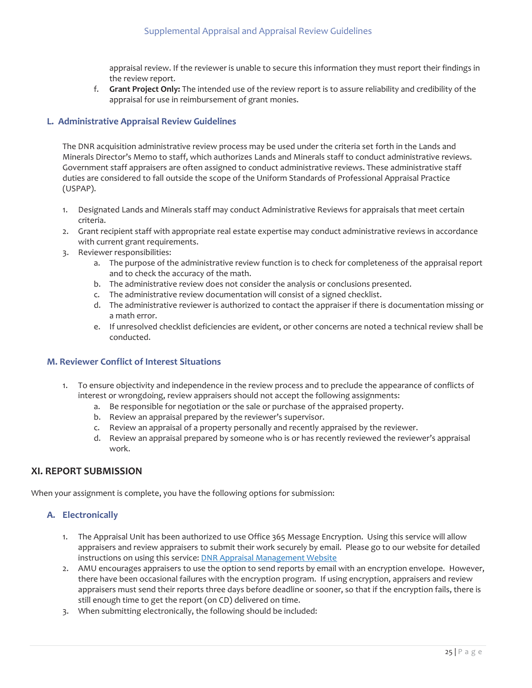the review report. appraisal review. If the reviewer is unable to secure this information they must report their findings in

f. Grant Project Only: The intended use of the review report is to assure reliability and credibility of the appraisal for use in reimbursement of grant monies.

# <span id="page-25-3"></span>**L. Administrative Appraisal Review Guidelines**

The DNR acquisition administrative review process may be used under the criteria set forth in the Lands and Minerals Director's Memo to staff, which authorizes Lands and Minerals staff to conduct administrative reviews. Government staff appraisers are often assigned to conduct administrative reviews. These administrative staff duties are considered to fall outside the scope of the Uniform Standards of Professional Appraisal Practice (USPAP).

- 1. Designated Lands and Minerals staff may conduct Administrative Reviews for appraisals that meet certain criteria.
- 2. Grant recipient staff with appropriate real estate expertise may conduct administrative reviews in accordance with current grant requirements.
- 3. Reviewer responsibilities:
	- a. The purpose of the administrative review function is to check for completeness of the appraisal report and to check the accuracy of the math.
	- b. The administrative review does not consider the analysis or conclusions presented.
	- c. The administrative review documentation will consist of a signed checklist.
	- a math error. d. The administrative reviewer is authorized to contact the appraiser if there is documentation missing or
	- conducted. e. If unresolved checklist deficiencies are evident, or other concerns are noted a technical review shall be

## <span id="page-25-2"></span>**M. Reviewer Conflict of Interest Situations**

- interest or wrongdoing, review appraisers should not accept the following assignments: 1. To ensure objectivity and independence in the review process and to preclude the appearance of conflicts of
	- a. Be responsible for negotiation or the sale or purchase of the appraised property.
	- b. Review an appraisal prepared by the reviewer's supervisor.
	- c. Review an appraisal of a property personally and recently appraised by the reviewer.
	- d. Review an appraisal prepared by someone who is or has recently reviewed the reviewer's appraisal work.

## <span id="page-25-1"></span>**XI. REPORT SUBMISSION**

When your assignment is complete, you have the following options for submission:

# <span id="page-25-0"></span> **A. Electronically**

- 1. The Appraisal Unit has been authorized to use Office 365 Message Encryption. Using this service will allow appraisers and review appraisers to submit their work securely by email. Please go to our website for detailed instructions on using this service: **DNR Appraisal Management Website**
- 2. AMU encourages appraisers to use the option to send reports by email with an encryption envelope. However, there have been occasional failures with the encryption program. If using encryption, appraisers and review appraisers must send their reports three days before deadline or sooner, so that if the encryption fails, there is still enough time to get the report (on CD) delivered on time.
- 3. When submitting electronically, the following should be included: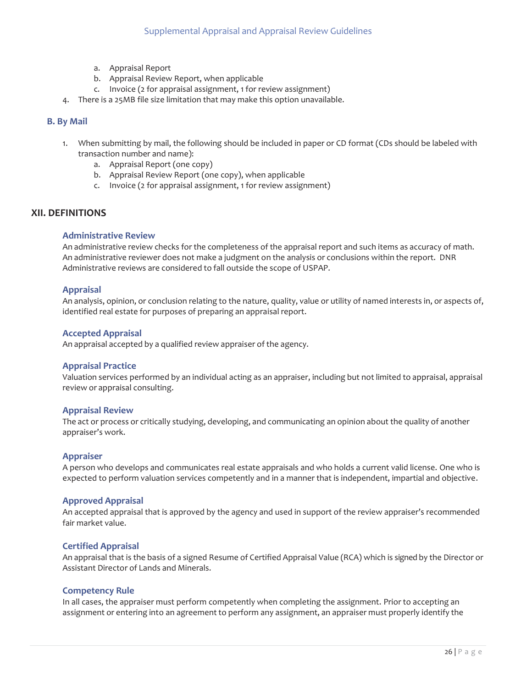- a. Appraisal Report
- b. Appraisal Review Report, when applicable
- c. Invoice (2 for appraisal assignment, 1 for review assignment)
- 4. There is a 25MB file size limitation that may make this option unavailable.

#### <span id="page-26-1"></span>**B. By Mail**

- 1. When submitting by mail, the following should be included in paper or CD format (CDs should be labeled with transaction number and name):
	- a. Appraisal Report (one copy)
	- b. Appraisal Review Report (one copy), when applicable
	- c. Invoice (2 for appraisal assignment, 1 for review assignment)

# <span id="page-26-0"></span>**XII. DEFINITIONS**

#### **Administrative Review**

 Administrative reviews are considered to fall outside the scope of USPAP. An administrative review checks for the completeness of the appraisal report and such items as accuracy of math. An administrative reviewer does not make a judgment on the analysis or conclusions within the report. DNR

#### **Appraisal**

An analysis, opinion, or conclusion relating to the nature, quality, value or utility of named interests in, or aspects of, identified real estate for purposes of preparing an appraisal report.

#### **Accepted Appraisal**

An appraisal accepted by a qualified review appraiser of the agency.

#### **Appraisal Practice**

 Valuation services performed by an individual acting as an appraiser, including but not limited to appraisal, appraisal review or appraisal consulting.

#### **Appraisal Review**

 The act or process or critically studying, developing, and communicating an opinion about the quality of another appraiser's work.

#### **Appraiser**

 expected to perform valuation services competently and in a manner that is independent, impartial and objective. A person who develops and communicates real estate appraisals and who holds a current valid license. One who is

#### **Approved Appraisal**

An accepted appraisal that is approved by the agency and used in support of the review appraiser's recommended fair market value.

#### **Certified Appraisal**

An appraisal that is the basis of a signed Resume of Certified Appraisal Value (RCA) which is signed by the Director or Assistant Director of Lands and Minerals.

#### **Competency Rule**

In all cases, the appraiser must perform competently when completing the assignment. Prior to accepting an assignment or entering into an agreement to perform any assignment, an appraiser must properly identify the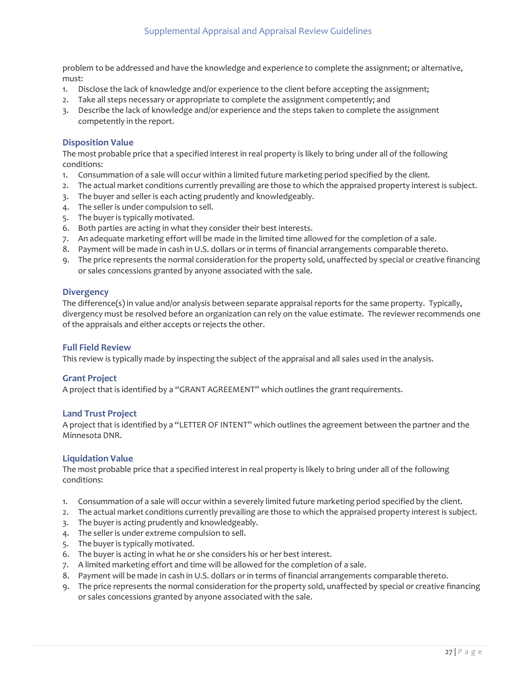problem to be addressed and have the knowledge and experience to complete the assignment; or alternative, must:

- 1. Disclose the lack of knowledge and/or experience to the client before accepting the assignment;
- 2. Take all steps necessary or appropriate to complete the assignment competently; and
- competently in the report. 3. Describe the lack of knowledge and/or experience and the steps taken to complete the assignment

#### **Disposition Value**

The most probable price that a specified interest in real property is likely to bring under all of the following conditions:

- 1. Consummation of a sale will occur within a limited future marketing period specified by the client.
- 2. The actual market conditions currently prevailing are those to which the appraised property interest is subject.
- 3. The buyer and seller is each acting prudently and knowledgeably.
- 4. The seller is under compulsion to sell.
- 5. The buyer is typically motivated.
- 6. Both parties are acting in what they consider their best interests.
- 7. An adequate marketing effort will be made in the limited time allowed for the completion of a sale.
- 8. Payment will be made in cash in U.S. dollars or in terms of financial arrangements comparable thereto.
- 9. The price represents the normal consideration for the property sold, unaffected by special or creative financing or sales concessions granted by anyone associated with the sale.

#### **Divergency**

 divergency must be resolved before an organization can rely on the value estimate. The reviewer recommends one The difference(s) in value and/or analysis between separate appraisal reports for the same property. Typically, of the appraisals and either accepts or rejects the other.

#### **Full Field Review**

This review is typically made by inspecting the subject of the appraisal and all sales used in the analysis.

#### **Grant Project**

A project that is identified by a "GRANT AGREEMENT" which outlines the grant requirements.

#### **Land Trust Project**

A project that is identified by a "LETTER OF INTENT" which outlines the agreement between the partner and the Minnesota DNR.

#### **Liquidation Value**

 The most probable price that a specified interest in real property is likely to bring under all of the following conditions:

- 1. Consummation of a sale will occur within a severely limited future marketing period specified by the client.
- 2. The actual market conditions currently prevailing are those to which the appraised property interest is subject.
- 3. The buyer is acting prudently and knowledgeably.
- 4. The seller is under extreme compulsion to sell.
- 5. The buyer is typically motivated.
- 6. The buyer is acting in what he or she considers his or her best interest.
- 7. A limited marketing effort and time will be allowed for the completion of a sale.
- 8. Payment will be made in cash in U.S. dollars or in terms of financial arrangements comparable thereto.
- 9. The price represents the normal consideration for the property sold, unaffected by special or creative financing or sales concessions granted by anyone associated with the sale.